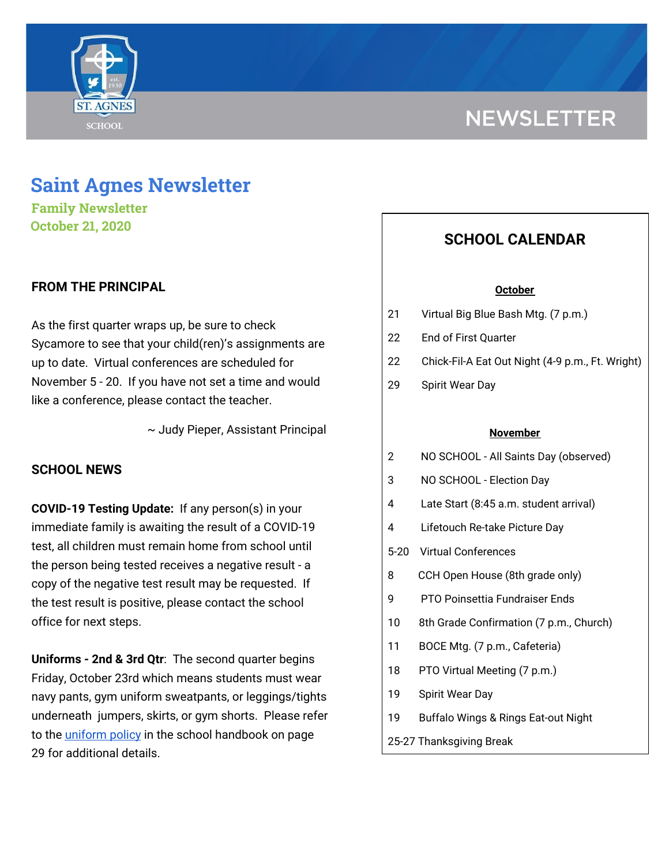

# **NEWSLETTER**

# **Saint Agnes Newsletter**

**Family Newsletter October 21, 2020**

# **FROM THE PRINCIPAL**

As the first quarter wraps up, be sure to check Sycamore to see that your child(ren)'s assignments are up to date. Virtual conferences are scheduled for November 5 - 20. If you have not set a time and would like a conference, please contact the teacher.

~ Judy Pieper, Assistant Principal

## **SCHOOL NEWS**

**COVID-19 Testing Update:** If any person(s) in your immediate family is awaiting the result of a COVID-19 test, all children must remain home from school until the person being tested receives a negative result - a copy of the negative test result may be requested. If the test result is positive, please contact the school office for next steps.

**Uniforms - 2nd & 3rd Qtr**: The second quarter begins Friday, October 23rd which means students must wear navy pants, gym uniform sweatpants, or leggings/tights underneath jumpers, skirts, or gym shorts. Please refer to the [uniform](https://school.saintagnes.com/wp-content/uploads/2020/09/Parent-Student-Handbook-2020-21.pdf) policy in the school handbook on page 29 for additional details.

# **SCHOOL CALENDAR**

#### **October**

- 21 Virtual Big Blue Bash Mtg. (7 p.m.)
- 22 End of First Quarter
- 22 Chick-Fil-A Eat Out Night (4-9 p.m., Ft. Wright)
- 29 Spirit Wear Day

#### **November**

- 2 NO SCHOOL All Saints Day (observed)
- 3 NO SCHOOL Election Day
- 4 Late Start (8:45 a.m. student arrival)
- 4 Lifetouch Re-take Picture Day
- 5-20 Virtual Conferences
- 8 CCH Open House (8th grade only)
- 9 PTO Poinsettia Fundraiser Ends
- 10 8th Grade Confirmation (7 p.m., Church)
- 11 BOCE Mtg. (7 p.m., Cafeteria)
- 18 PTO Virtual Meeting (7 p.m.)
- 19 Spirit Wear Day
- 19 Buffalo Wings & Rings Eat-out Night
- 25-27 Thanksgiving Break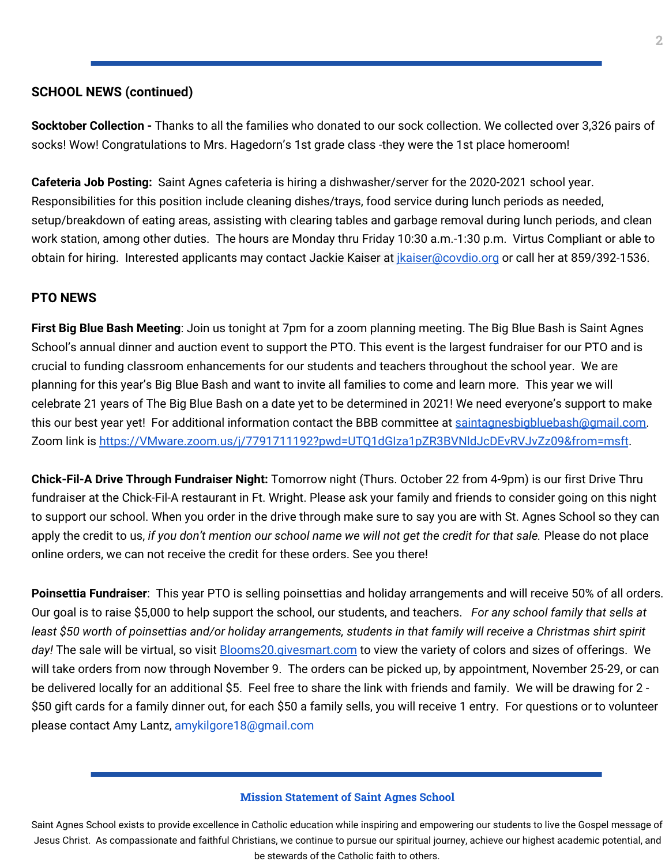# **SCHOOL NEWS (continued)**

**Socktober Collection -** Thanks to all the families who donated to our sock collection. We collected over 3,326 pairs of socks! Wow! Congratulations to Mrs. Hagedorn's 1st grade class -they were the 1st place homeroom!

**Cafeteria Job Posting:** Saint Agnes cafeteria is hiring a dishwasher/server for the 2020-2021 school year. Responsibilities for this position include cleaning dishes/trays, food service during lunch periods as needed, setup/breakdown of eating areas, assisting with clearing tables and garbage removal during lunch periods, and clean work station, among other duties. The hours are Monday thru Friday 10:30 a.m.-1:30 p.m. Virtus Compliant or able to obtain for hiring. Interested applicants may contact Jackie Kaiser at *[jkaiser@covdio.org](mailto:jkaiser@covdio.org)* or call her at 859/392-1536.

### **PTO NEWS**

**First Big Blue Bash Meeting**: Join us tonight at 7pm for a zoom planning meeting. The Big Blue Bash is Saint Agnes School's annual dinner and auction event to support the PTO. This event is the largest fundraiser for our PTO and is crucial to funding classroom enhancements for our students and teachers throughout the school year. We are planning for this year's Big Blue Bash and want to invite all families to come and learn more. This year we will celebrate 21 years of The Big Blue Bash on a date yet to be determined in 2021! We need everyone's support to make this our best year yet! For additional information contact the BBB committee at [saintagnesbigbluebash@gmail.com.](mailto:saintagnesbigbluebash@gmail.com) Zoom link is https://VMware.zoom.us/j/7791711192?pwd=UTQ1dGIza1pZR3BVNIdJcDEvRVJvZz09&from=msft.

**Chick-Fil-A Drive Through Fundraiser Night:** Tomorrow night (Thurs. October 22 from 4-9pm) is our first Drive Thru fundraiser at the Chick-Fil-A restaurant in Ft. Wright. Please ask your family and friends to consider going on this night to support our school. When you order in the drive through make sure to say you are with St. Agnes School so they can apply the credit to us, if you don't mention our school name we will not get the credit for that sale. Please do not place online orders, we can not receive the credit for these orders. See you there!

**Poinsettia Fundraiser**: This year PTO is selling poinsettias and holiday arrangements and will receive 50% of all orders. Our goal is to raise \$5,000 to help support the school, our students, and teachers. *For any school family that sells at* least \$50 worth of poinsettias and/or holiday arrangements, students in that family will receive a Christmas shirt spirit day! The sale will be virtual, so visit **[Blooms20.givesmart.com](http://blooms20.givesmart.com/)** to view the variety of colors and sizes of offerings. We will take orders from now through November 9. The orders can be picked up, by appointment, November 25-29, or can be delivered locally for an additional \$5. Feel free to share the link with friends and family. We will be drawing for 2 - \$50 gift cards for a family dinner out, for each \$50 a family sells, you will receive 1 entry. For questions or to volunteer please contact Amy Lantz, amykilgore18@gmail.com

#### **Mission Statement of Saint Agnes School**

Saint Agnes School exists to provide excellence in Catholic education while inspiring and empowering our students to live the Gospel message of Jesus Christ. As compassionate and faithful Christians, we continue to pursue our spiritual journey, achieve our highest academic potential, and be stewards of the Catholic faith to others.